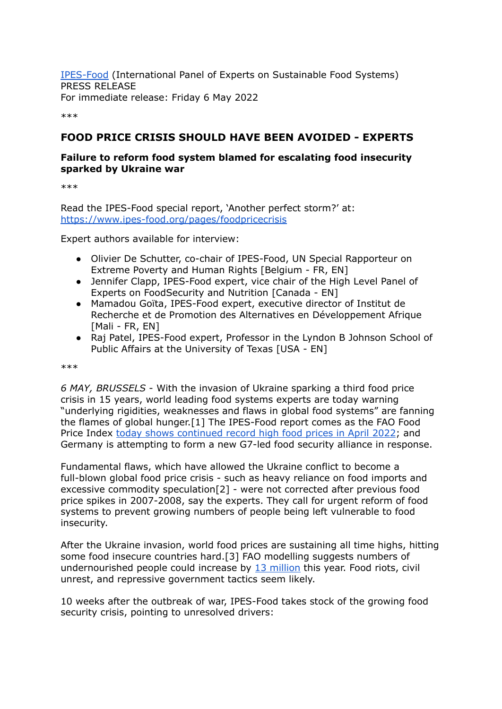[IPES-Food](https://ipes-food.org/) (International Panel of Experts on Sustainable Food Systems) PRESS RELEASE For immediate release: Friday 6 May 2022

\*\*\*

# **FOOD PRICE CRISIS SHOULD HAVE BEEN AVOIDED - EXPERTS**

### **Failure to reform food system blamed for escalating food insecurity sparked by Ukraine war**

\*\*\*

Read the IPES-Food special report, 'Another perfect storm?' at: [https://www.ipes-food.org/pages/foodpricecrisis](http://www.ipes-food.org/pages/foodpricecrisis)

Expert authors available for interview:

- Olivier De Schutter, co-chair of IPES-Food, UN Special Rapporteur on Extreme Poverty and Human Rights [Belgium - FR, EN]
- Jennifer Clapp, IPES-Food expert, vice chair of the High Level Panel of Experts on FoodSecurity and Nutrition [Canada - EN]
- Mamadou Goïta, IPES-Food expert, executive director of Institut de Recherche et de Promotion des Alternatives en Développement Afrique [Mali - FR, EN]
- Raj Patel, IPES-Food expert, Professor in the Lyndon B Johnson School of Public Affairs at the University of Texas [USA - EN]

\*\*\*

*6 MAY, BRUSSELS* - With the invasion of Ukraine sparking a third food price crisis in 15 years, world leading food systems experts are today warning "underlying rigidities, weaknesses and flaws in global food systems" are fanning the flames of global hunger.[1] The IPES-Food report comes as the FAO Food Price Index today shows [continued](https://www.fao.org/worldfoodsituation/foodpricesindex/en/) record high food prices in April 2022; and Germany is attempting to form a new G7-led food security alliance in response.

Fundamental flaws, which have allowed the Ukraine conflict to become a full-blown global food price crisis - such as heavy reliance on food imports and excessive commodity speculation[2] - were not corrected after previous food price spikes in 2007-2008, say the experts. They call for urgent reform of food systems to prevent growing numbers of people being left vulnerable to food insecurity.

After the Ukraine invasion, world food prices are sustaining all time highs, hitting some food insecure countries hard.[3] FAO modelling suggests numbers of undernourished people could increase by 13 [million](https://www.scidev.net/asia-pacific/news/ukraine-war-poses-growing-threat-to-global-food-security/) this year. Food riots, civil unrest, and repressive government tactics seem likely.

10 weeks after the outbreak of war, IPES-Food takes stock of the growing food security crisis, pointing to unresolved drivers: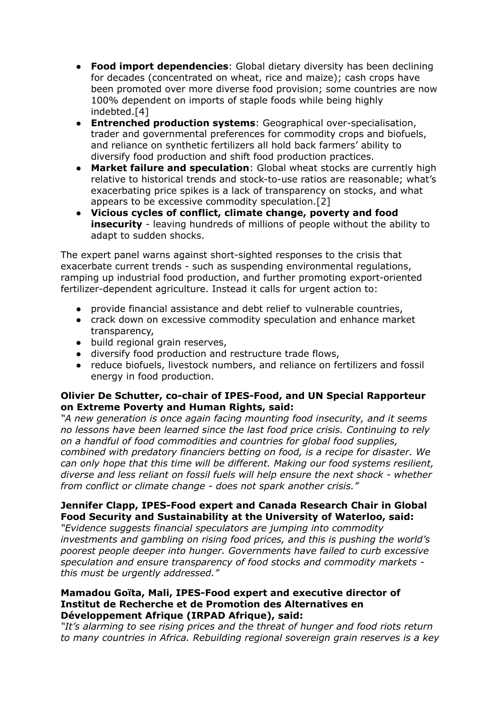- **Food import dependencies**: Global dietary diversity has been declining for decades (concentrated on wheat, rice and maize); cash crops have been promoted over more diverse food provision; some countries are now 100% dependent on imports of staple foods while being highly indebted.[4]
- **Entrenched production systems**: Geographical over-specialisation, trader and governmental preferences for commodity crops and biofuels, and reliance on synthetic fertilizers all hold back farmers' ability to diversify food production and shift food production practices.
- **Market failure and speculation:** Global wheat stocks are currently high relative to historical trends and stock-to-use ratios are reasonable; what's exacerbating price spikes is a lack of transparency on stocks, and what appears to be excessive commodity speculation.[2]
- **Vicious cycles of conflict, climate change, poverty and food insecurity** - leaving hundreds of millions of people without the ability to adapt to sudden shocks.

The expert panel warns against short-sighted responses to the crisis that exacerbate current trends - such as suspending environmental regulations, ramping up industrial food production, and further promoting export-oriented fertilizer-dependent agriculture. Instead it calls for urgent action to:

- provide financial assistance and debt relief to vulnerable countries,
- crack down on excessive commodity speculation and enhance market transparency,
- build regional grain reserves,
- diversify food production and restructure trade flows,
- reduce biofuels, livestock numbers, and reliance on fertilizers and fossil energy in food production.

### **Olivier De Schutter, co-chair of IPES-Food, and UN Special Rapporteur on Extreme Poverty and Human Rights, said:**

*"A new generation is once again facing mounting food insecurity, and it seems no lessons have been learned since the last food price crisis. Continuing to rely on a handful of food commodities and countries for global food supplies, combined with predatory financiers betting on food, is a recipe for disaster. We can only hope that this time will be different. Making our food systems resilient, diverse and less reliant on fossil fuels will help ensure the next shock - whether from conflict or climate change - does not spark another crisis."*

# **Jennifer Clapp, IPES-Food expert and Canada Research Chair in Global Food Security and Sustainability at the University of Waterloo, said:**

*"Evidence suggests financial speculators are jumping into commodity investments and gambling on rising food prices, and this is pushing the world's poorest people deeper into hunger. Governments have failed to curb excessive speculation and ensure transparency of food stocks and commodity markets this must be urgently addressed."*

## **Mamadou Goïta, Mali, IPES-Food expert and executive director of Institut de Recherche et de Promotion des Alternatives en Développement Afrique (IRPAD Afrique), said:**

*"It's alarming to see rising prices and the threat of hunger and food riots return to many countries in Africa. Rebuilding regional sovereign grain reserves is a key*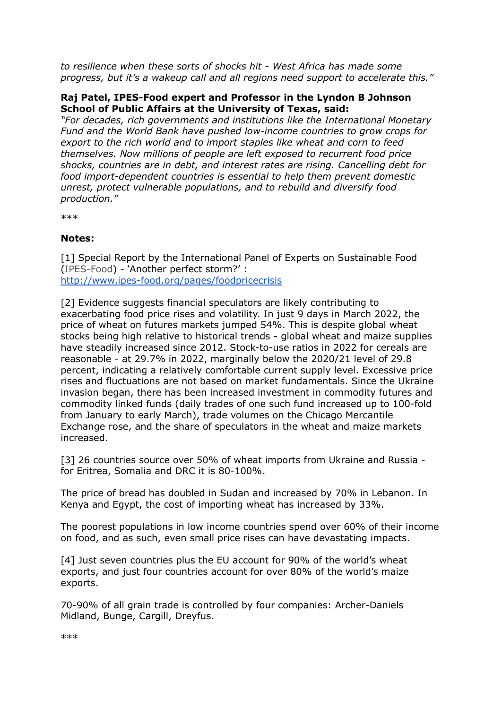*to resilience when these sorts of shocks hit - West Africa has made some progress, but it's a wakeup call and all regions need support to accelerate this."*

## **Raj Patel, IPES-Food expert and Professor in the Lyndon B Johnson School of Public Affairs at the University of Texas, said:**

*"For decades, rich governments and institutions like the International Monetary Fund and the World Bank have pushed low-income countries to grow crops for export to the rich world and to import staples like wheat and corn to feed themselves. Now millions of people are left exposed to recurrent food price shocks, countries are in debt, and interest rates are rising. Cancelling debt for food import-dependent countries is essential to help them prevent domestic unrest, protect vulnerable populations, and to rebuild and diversify food production."*

\*\*\*

### **Notes:**

[1] Special Report by the International Panel of Experts on Sustainable Food ([IPES-Food\)](https://ipes-food.org/) - 'Another perfect storm?' : <http://www.ipes-food.org/pages/foodpricecrisis>

[2] Evidence suggests financial speculators are likely contributing to exacerbating food price rises and volatility. In just 9 days in March 2022, the price of wheat on futures markets jumped 54%. This is despite global wheat stocks being high relative to historical trends - global wheat and maize supplies have steadily increased since 2012. Stock-to-use ratios in 2022 for cereals are reasonable - at 29.7% in 2022, marginally below the 2020/21 level of 29.8 percent, indicating a relatively comfortable current supply level. Excessive price rises and fluctuations are not based on market fundamentals. Since the Ukraine invasion began, there has been increased investment in commodity futures and commodity linked funds (daily trades of one such fund increased up to 100-fold from January to early March), trade volumes on the Chicago Mercantile Exchange rose, and the share of speculators in the wheat and maize markets increased.

[3] 26 countries source over 50% of wheat imports from Ukraine and Russia for Eritrea, Somalia and DRC it is 80-100%.

The price of bread has doubled in Sudan and increased by 70% in Lebanon. In Kenya and Egypt, the cost of importing wheat has increased by 33%.

The poorest populations in low income countries spend over 60% of their income on food, and as such, even small price rises can have devastating impacts.

[4] Just seven countries plus the EU account for 90% of the world's wheat exports, and just four countries account for over 80% of the world's maize exports.

70-90% of all grain trade is controlled by four companies: Archer-Daniels Midland, Bunge, Cargill, Dreyfus.

\*\*\*